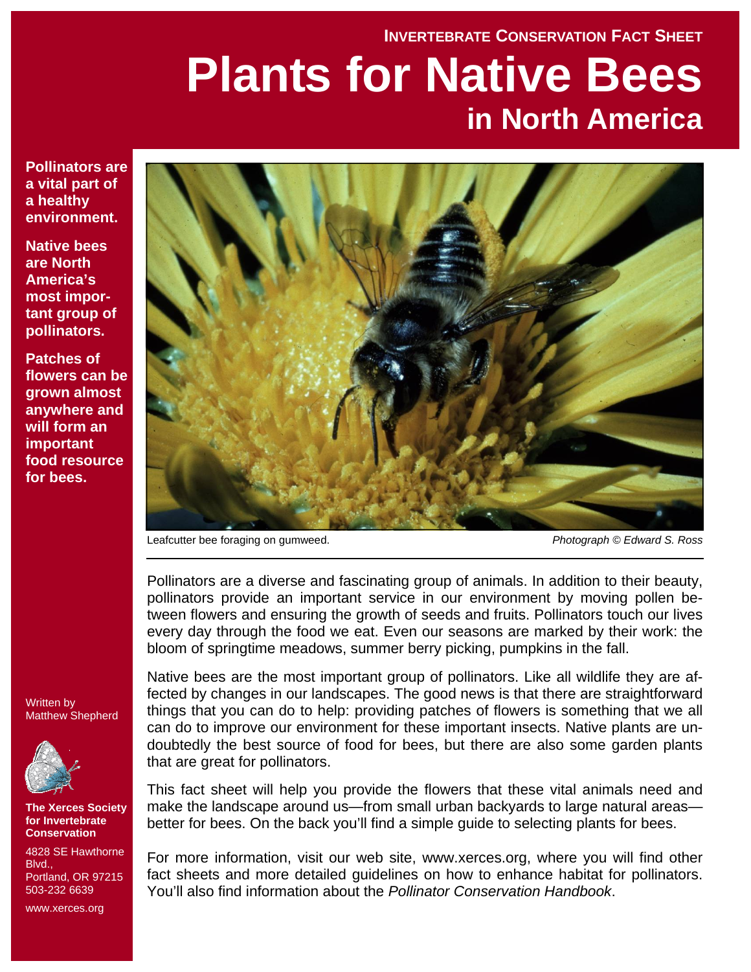#### **INVERTEBRATE CONSERVATION FACT SHEET**

# **Plants for Native Bees in North America**

**Pollinators are a vital part of a healthy environment.** 

**Native bees are North America's most important group of pollinators.** 

**Patches of flowers can be grown almost anywhere and will form an important food resource for bees.** 



Leafcutter bee foraging on gumweed. *Photograph © Edward S. Ross*

Pollinators are a diverse and fascinating group of animals. In addition to their beauty, pollinators provide an important service in our environment by moving pollen between flowers and ensuring the growth of seeds and fruits. Pollinators touch our lives every day through the food we eat. Even our seasons are marked by their work: the bloom of springtime meadows, summer berry picking, pumpkins in the fall.

Written by Matthew Shepherd



**The Xerces Society for Invertebrate Conservation** 

4828 SE Hawthorne **Blvd.** Portland, OR 97215 503-232 6639

www.xerces.org

Native bees are the most important group of pollinators. Like all wildlife they are affected by changes in our landscapes. The good news is that there are straightforward things that you can do to help: providing patches of flowers is something that we all can do to improve our environment for these important insects. Native plants are undoubtedly the best source of food for bees, but there are also some garden plants that are great for pollinators.

This fact sheet will help you provide the flowers that these vital animals need and make the landscape around us—from small urban backyards to large natural areas better for bees. On the back you'll find a simple guide to selecting plants for bees.

For more information, visit our web site, www.xerces.org, where you will find other fact sheets and more detailed guidelines on how to enhance habitat for pollinators. You'll also find information about the *Pollinator Conservation Handbook*.